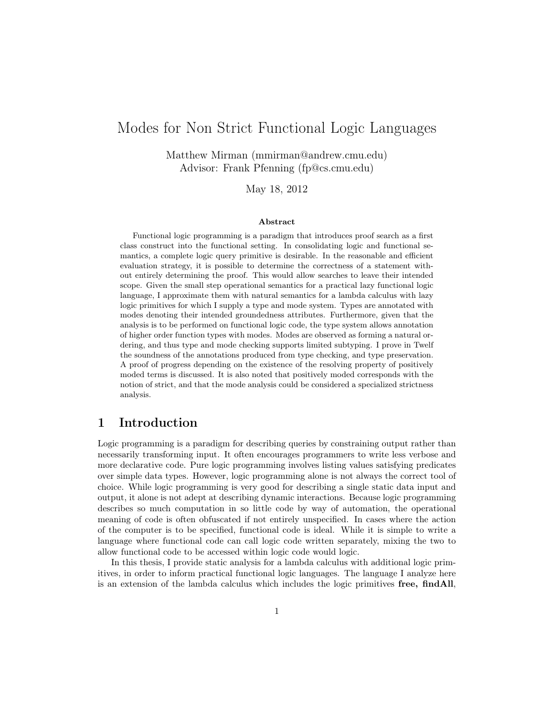# Modes for Non Strict Functional Logic Languages

Matthew Mirman (mmirman@andrew.cmu.edu) Advisor: Frank Pfenning (fp@cs.cmu.edu)

May 18, 2012

#### Abstract

Functional logic programming is a paradigm that introduces proof search as a first class construct into the functional setting. In consolidating logic and functional semantics, a complete logic query primitive is desirable. In the reasonable and efficient evaluation strategy, it is possible to determine the correctness of a statement without entirely determining the proof. This would allow searches to leave their intended scope. Given the small step operational semantics for a practical lazy functional logic language, I approximate them with natural semantics for a lambda calculus with lazy logic primitives for which I supply a type and mode system. Types are annotated with modes denoting their intended groundedness attributes. Furthermore, given that the analysis is to be performed on functional logic code, the type system allows annotation of higher order function types with modes. Modes are observed as forming a natural ordering, and thus type and mode checking supports limited subtyping. I prove in Twelf the soundness of the annotations produced from type checking, and type preservation. A proof of progress depending on the existence of the resolving property of positively moded terms is discussed. It is also noted that positively moded corresponds with the notion of strict, and that the mode analysis could be considered a specialized strictness analysis.

# 1 Introduction

Logic programming is a paradigm for describing queries by constraining output rather than necessarily transforming input. It often encourages programmers to write less verbose and more declarative code. Pure logic programming involves listing values satisfying predicates over simple data types. However, logic programming alone is not always the correct tool of choice. While logic programming is very good for describing a single static data input and output, it alone is not adept at describing dynamic interactions. Because logic programming describes so much computation in so little code by way of automation, the operational meaning of code is often obfuscated if not entirely unspecified. In cases where the action of the computer is to be specified, functional code is ideal. While it is simple to write a language where functional code can call logic code written separately, mixing the two to allow functional code to be accessed within logic code would logic.

In this thesis, I provide static analysis for a lambda calculus with additional logic primitives, in order to inform practical functional logic languages. The language I analyze here is an extension of the lambda calculus which includes the logic primitives free, findAll,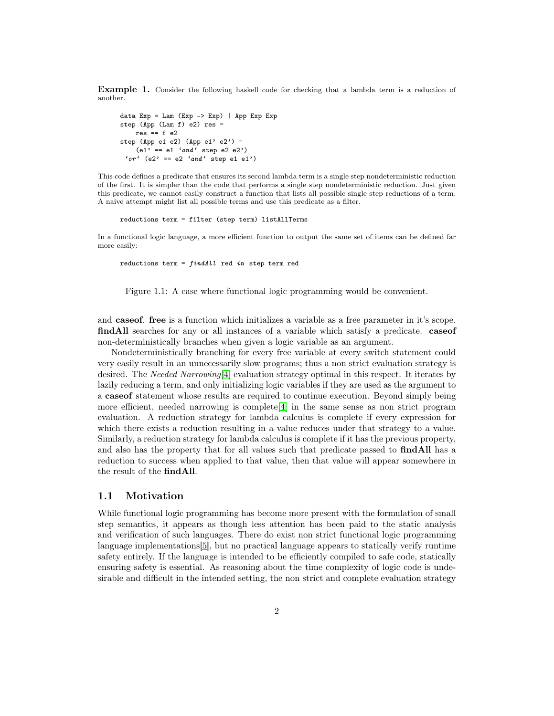**Example 1.** Consider the following haskell code for checking that a lambda term is a reduction of another.

```
data Exp = Lam (Exp \rightarrow Exp) | App Exp Expstep (App (Lam f) e2) res =
  res == f e2step (App e1 e2) (App e1' e2') =
  (e1') == e1 'and' step e2 e2')
'or' (e2) == e2 'and' step e1 e1')
```
This code defines a predicate that ensures its second lambda term is a single step nondeterministic reduction of the first. It is simpler than the code that performs a single step nondeterministic reduction. Just given this predicate, we cannot easily construct a function that lists all possible single step reductions of a term. A naive attempt might list all possible terms and use this predicate as a filter.

#### reductions term = filter (step term) listAllTerms

In a functional logic language, a more efficient function to output the same set of items can be defined far more easily:

reductions term =  $findAll$  red in step term red

Figure 1.1: A case where functional logic programming would be convenient.

and caseof. free is a function which initializes a variable as a free parameter in it's scope. findAll searches for any or all instances of a variable which satisfy a predicate. **case** non-deterministically branches when given a logic variable as an argument.

Nondeterministically branching for every free variable at every switch statement could very easily result in an unnecessarily slow programs; thus a non strict evaluation strategy is desired. The *Needed Narrowing* [\[4\]](#page-15-0) evaluation strategy optimal in this respect. It iterates by lazily reducing a term, and only initializing logic variables if they are used as the argument to a caseof statement whose results are required to continue execution. Beyond simply being more efficient, needed narrowing is complete[\[4\]](#page-15-0) in the same sense as non strict program evaluation. A reduction strategy for lambda calculus is complete if every expression for which there exists a reduction resulting in a value reduces under that strategy to a value. Similarly, a reduction strategy for lambda calculus is complete if it has the previous property, and also has the property that for all values such that predicate passed to findAll has a reduction to success when applied to that value, then that value will appear somewhere in the result of the findAll.

#### 1.1 Motivation

While functional logic programming has become more present with the formulation of small step semantics, it appears as though less attention has been paid to the static analysis and verification of such languages. There do exist non strict functional logic programming language implementations[\[5\]](#page-15-1), but no practical language appears to statically verify runtime safety entirely. If the language is intended to be efficiently compiled to safe code, statically ensuring safety is essential. As reasoning about the time complexity of logic code is undesirable and difficult in the intended setting, the non strict and complete evaluation strategy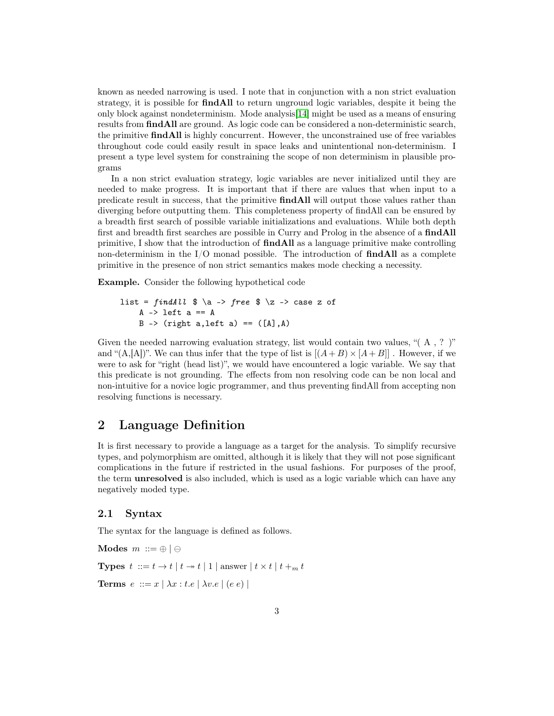known as needed narrowing is used. I note that in conjunction with a non strict evaluation strategy, it is possible for findAll to return unground logic variables, despite it being the only block against nondeterminism. Mode analysis[\[14\]](#page-15-2) might be used as a means of ensuring results from **findAll** are ground. As logic code can be considered a non-deterministic search, the primitive **findAll** is highly concurrent. However, the unconstrained use of free variables throughout code could easily result in space leaks and unintentional non-determinism. I present a type level system for constraining the scope of non determinism in plausible programs

In a non strict evaluation strategy, logic variables are never initialized until they are needed to make progress. It is important that if there are values that when input to a predicate result in success, that the primitive findAll will output those values rather than diverging before outputting them. This completeness property of findAll can be ensured by a breadth first search of possible variable initializations and evaluations. While both depth first and breadth first searches are possible in Curry and Prolog in the absence of a findAll primitive, I show that the introduction of  $findAll$  as a language primitive make controlling non-determinism in the  $I/O$  monad possible. The introduction of **findAll** as a complete primitive in the presence of non strict semantics makes mode checking a necessity.

Example. Consider the following hypothetical code

list = 
$$
findAll \
$$
  $\a \rightarrow free \$   $\Bbbk$   $\rightarrow$  case z of A  $\rightarrow$  left a == A  $B \rightarrow (right a, left a) == ([A], A)$ 

Given the needed narrowing evaluation strategy, list would contain two values, "(A, ?)" and " $(A,[A])$ ". We can thus infer that the type of list is  $[(A+B)\times [A+B]]$ . However, if we were to ask for "right (head list)", we would have encountered a logic variable. We say that this predicate is not grounding. The effects from non resolving code can be non local and non-intuitive for a novice logic programmer, and thus preventing findAll from accepting non resolving functions is necessary.

# 2 Language Definition

It is first necessary to provide a language as a target for the analysis. To simplify recursive types, and polymorphism are omitted, although it is likely that they will not pose significant complications in the future if restricted in the usual fashions. For purposes of the proof, the term unresolved is also included, which is used as a logic variable which can have any negatively moded type.

#### 2.1 Syntax

The syntax for the language is defined as follows.

Modes  $m ::= \oplus \mid \ominus$ 

**Types**  $t := t \rightarrow t | t \rightarrow t | 1 |$  answer  $| t \times t | t + m t$ 

Terms  $e ::= x \mid \lambda x : t.e \mid \lambda v.e \mid (e e) \mid$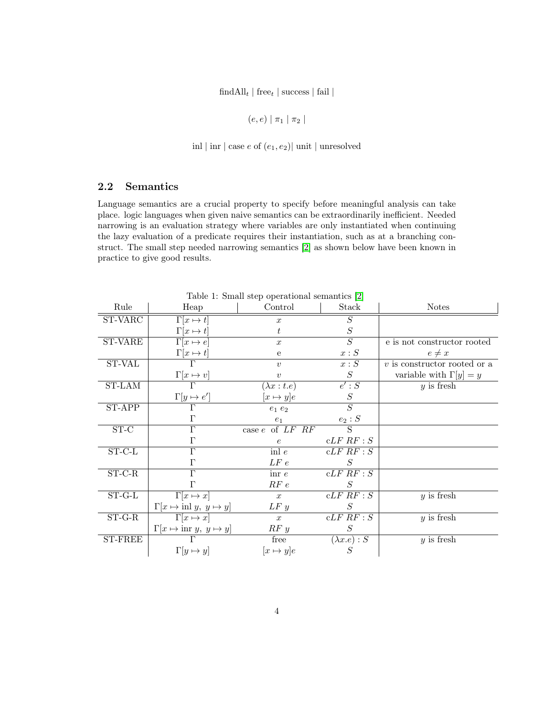$\text{findAll}_t | \text{free}_t | \text{success} | \text{fail} |$ 

$$
(e,e) | \pi_1 | \pi_2 |
$$

inl  $|\text{im } \mathsf{l}$  case e of  $(e_1, e_2)|$  unit  $|\text{unresolved}$ 

## 2.2 Semantics

Language semantics are a crucial property to specify before meaningful analysis can take place. logic languages when given naive semantics can be extraordinarily inefficient. Needed narrowing is an evaluation strategy where variables are only instantiated when continuing the lazy evaluation of a predicate requires their instantiation, such as at a branching construct. The small step needed narrowing semantics [\[2\]](#page-15-3) as shown below have been known in practice to give good results.

| rable 1: Small step operational semantics [2] |                                                |                          |                    |                                |
|-----------------------------------------------|------------------------------------------------|--------------------------|--------------------|--------------------------------|
| Rule                                          | Heap                                           | Control                  | Stack              | <b>Notes</b>                   |
| ST-VARC                                       | $\Gamma[x \mapsto t]$                          | $\boldsymbol{x}$         | S                  |                                |
|                                               | $\Gamma[x \mapsto t]$                          | t                        | S                  |                                |
| <b>ST-VARE</b>                                | $\overline{\Gamma[x \mapsto e]}$               | $\boldsymbol{x}$         | $\overline{S}$     | e is not constructor rooted    |
|                                               | $\frac{\Gamma[x \mapsto t]}{\Gamma}$           | e                        | x : S              | $e \neq x$                     |
| <b>ST-VAL</b>                                 |                                                | $\boldsymbol{v}$         | x : S              | $v$ is constructor rooted or a |
|                                               | $\Gamma[x \mapsto v]$                          | $\boldsymbol{v}$         | $S_{-}$            | variable with $\Gamma[y] = y$  |
| ST-LAM                                        |                                                | $(\lambda x : t.e)$      | e':S               | $y$ is fresh                   |
|                                               | $\Gamma[y \mapsto e']$                         | $[x \mapsto y]e$         | S                  |                                |
| ST-APP                                        | $\Gamma$                                       | $e_1e_2$                 | $\overline{S}$     |                                |
|                                               | Г                                              | e <sub>1</sub>           | $e_2 : S$          |                                |
| $ST-C$                                        | $\Gamma$                                       | case $e$ of $LF$ $RF$    | S                  |                                |
|                                               | Г                                              | $\epsilon$               | $cLF$ $RF$ : $S$   |                                |
| $ST-C-L$                                      | $\Gamma$                                       | inl $e$                  | $cLF$ $RF : S$     |                                |
|                                               | Г                                              | LF e                     | S                  |                                |
| $ST-C-R$                                      | $\Gamma$                                       | $\operatorname{inr}$ $e$ | $cLF$ $RF$ : $S$   |                                |
|                                               | $\Gamma$                                       | $RF$ e                   | S                  |                                |
| $ST-G-L$                                      | $\overline{\Gamma[x\mapsto x]}$                | $\boldsymbol{x}$         | $cLF$ $RF$ : $S$   | $y$ is fresh                   |
|                                               | $\Gamma[x \mapsto \text{inl } y, y \mapsto y]$ | LF y                     | S                  |                                |
| $ST-G-R$                                      | $\Gamma[x \mapsto x]$                          | $\boldsymbol{x}$         | $cLF$ $RF$ : $S$   | $y$ is fresh                   |
|                                               | $\Gamma[x \mapsto \text{inr } y, y \mapsto y]$ | RF y                     | S                  |                                |
| <b>ST-FREE</b>                                |                                                | free                     | $(\lambda x.e): S$ | $y$ is fresh                   |
|                                               | $\Gamma[y \mapsto y]$                          | $[x \mapsto y]e$         | $\overline{S}$     |                                |

Table 1: Small step operational semantics [\[2\]](#page-15-3)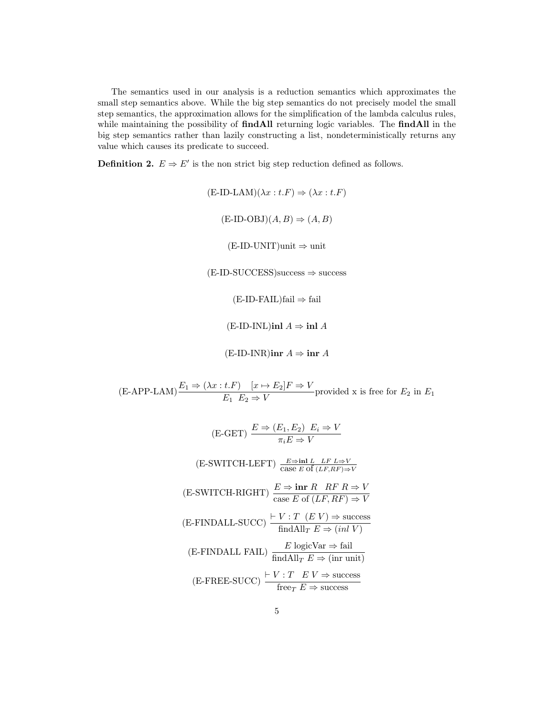The semantics used in our analysis is a reduction semantics which approximates the small step semantics above. While the big step semantics do not precisely model the small step semantics, the approximation allows for the simplification of the lambda calculus rules, while maintaining the possibility of **findAll** returning logic variables. The **findAll** in the big step semantics rather than lazily constructing a list, nondeterministically returns any value which causes its predicate to succeed.

**Definition 2.**  $E \Rightarrow E'$  is the non strict big step reduction defined as follows.

 $(E-ID-LAM)(\lambda x : t.F) \Rightarrow (\lambda x : t.F)$  $(E-ID-OBJ)(A, B) \Rightarrow (A, B)$  $(E-ID-UNIT)$ unit  $\Rightarrow$  unit  $(E-ID-SUCCESS)$ success  $\Rightarrow$  success  $(E$ -ID-FAIL)fail  $\Rightarrow$  fail  $(E$ -ID-INL)inl  $A \Rightarrow$  inl  $A$  $(E$ -ID-INR)inr  $A \Rightarrow$  inr  $A$  $(E-APP-LAM) \frac{E_1 \Rightarrow (\lambda x : t.F)}{E_1 E_2 \Rightarrow V}$  provided x is free for  $E_2$  in  $E_1$ (E-GET)  $\frac{E \Rightarrow (E_1, E_2) \quad E_i \Rightarrow V}{\pi_i E \Rightarrow V}$  $(E-SWITCH-LEFT)$   $\frac{E\Rightarrow \text{inl } L \quad LF \quad L \Rightarrow V}{\text{case } E \text{ of } (LF, RF) \Rightarrow V}$ (E-SWITCH-RIGHT)  $\frac{E \Rightarrow \text{inr } R \quad RF \quad R \Rightarrow V}{\text{case } E \text{ of } (LF, RF) \Rightarrow V}$  $(E\text{-}\text{FINDALL-SUCC}) \stackrel{\vdash}{\longrightarrow} \frac{V : T \ (E \ V) \Rightarrow \text{success}}{\text{findAll}_T \ E \Rightarrow (inl \ V)}$  $(E\text{-}\text{FINDALL FAIL}) \frac{E \log i \text{Var} \Rightarrow \text{fail}}{\text{findAll}_T E \Rightarrow (\text{inr unit})}$  $(E\text{-}FREE-SUCC) \frac{\vdash V : T \quad E \quad V \Rightarrow \text{success}}{\text{free}_T \quad E \Rightarrow \text{success}}$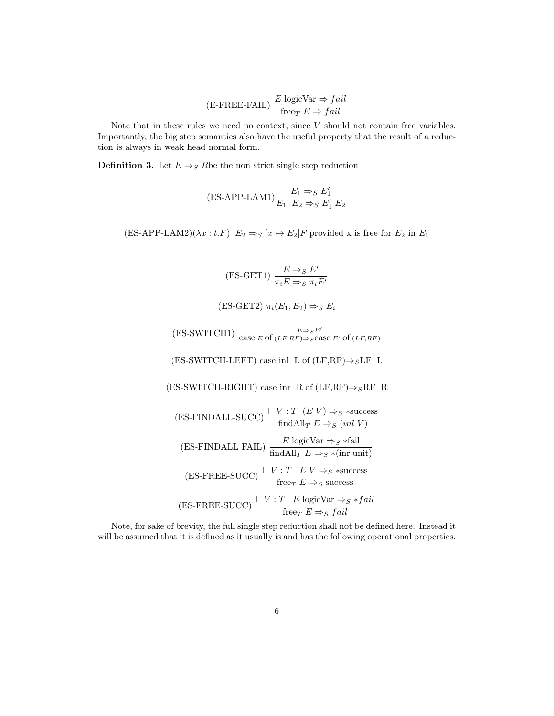$$
(E\text{-}FREE\text{-}FAIL) \frac{E \text{ logicVar} \Rightarrow fail}{\text{free}_T E \Rightarrow fail}
$$

Note that in these rules we need no context, since  $V$  should not contain free variables. Importantly, the big step semantics also have the useful property that the result of a reduction is always in weak head normal form.

**Definition 3.** Let  $E \Rightarrow_{S} R$ be the non strict single step reduction

$$
(ES-APP-LAM1) \frac{E_1 \Rightarrow_S E'_1}{E_1 \ E_2 \Rightarrow_S E'_1 E_2}
$$

(ES-APP-LAM2) $(\lambda x : t.F) E_2 \Rightarrow_S [x \mapsto E_2]F$  provided x is free for  $E_2$  in  $E_1$ 

(ES-GET1) 
$$
\frac{E \Rightarrow_S E'}{\pi_i E \Rightarrow_S \pi_i E'}
$$
  
\n(ES-GET2)  $\pi_i(E_1, E_2) \Rightarrow_S E_i$   
\n(ES-SWITCH1)  $\frac{E \Rightarrow_S E'}{\text{case } E}$  of  $(LF, RF) \Rightarrow_S \text{case } E'$  of  $(LF, RF)$   
\n(ES-SWITCH-LEFT) case inl L of (LF,RF)  $\Rightarrow_S \text{LF}$  L  
\n(ES-SWITCH-RIGHT) case inr R of (LF,RF)  $\Rightarrow_S \text{RF}$  R  
\n(ES-FINDALL-SUCC)  $\frac{\vdash V : T (EV) \Rightarrow_S \text{ *success}}{\text{findAll}_T E \Rightarrow_S (inl V)}$   
\n(ES-FINDALL FAIL)  $\frac{E \text{ logicVar} \Rightarrow_S \text{ *fail}}{\text{findAll}_T E \Rightarrow_S \text{ *}(inr unit)}$   
\n(ES-FREE-SUCC)  $\frac{\vdash V : T E V \Rightarrow_S \text{ *success}}{\text{free}_T E \Rightarrow_S \text{ success}}$   
\n(ES-FREE-SUCC)  $\frac{\vdash V : T E \text{ logicVar} \Rightarrow_S \text{ *fail}}{\text{free}_T E \Rightarrow_S fail}$ 

Note, for sake of brevity, the full single step reduction shall not be defined here. Instead it will be assumed that it is defined as it usually is and has the following operational properties.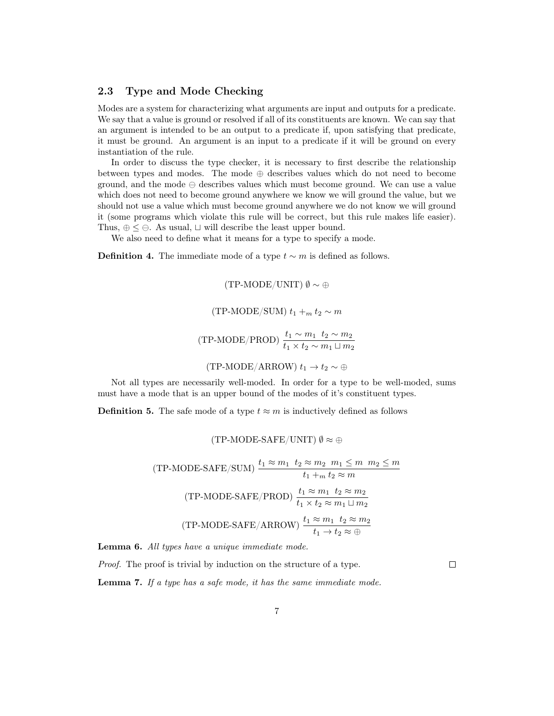### 2.3 Type and Mode Checking

Modes are a system for characterizing what arguments are input and outputs for a predicate. We say that a value is ground or resolved if all of its constituents are known. We can say that an argument is intended to be an output to a predicate if, upon satisfying that predicate, it must be ground. An argument is an input to a predicate if it will be ground on every instantiation of the rule.

In order to discuss the type checker, it is necessary to first describe the relationship between types and modes. The mode ⊕ describes values which do not need to become ground, and the mode  $\ominus$  describes values which must become ground. We can use a value which does not need to become ground anywhere we know we will ground the value, but we should not use a value which must become ground anywhere we do not know we will ground it (some programs which violate this rule will be correct, but this rule makes life easier). Thus,  $\oplus \leq \ominus$ . As usual,  $\sqcup$  will describe the least upper bound.

We also need to define what it means for a type to specify a mode.

**Definition 4.** The immediate mode of a type  $t \sim m$  is defined as follows.

(TP-MODE/UNIT)  $\emptyset \sim \oplus$ (TP-MODE/SUM)  $t_1 +_m t_2 \sim m$ (TP-MODE/PROD)  $\frac{t_1 \sim m_1 \, t_2 \sim m_2}{t_1 \times t_2 \sim m_1 \sqcup m_2}$ (TP-MODE/ARROW)  $t_1 \rightarrow t_2 \sim \oplus$ 

Not all types are necessarily well-moded. In order for a type to be well-moded, sums must have a mode that is an upper bound of the modes of it's constituent types.

**Definition 5.** The safe mode of a type  $t \approx m$  is inductively defined as follows

#### (TP-MODE-SAFE/UNIT)  $\emptyset \approx \oplus$

(TP-MODE-SAFE/SUM) 
$$
\frac{t_1 \approx m_1 \quad t_2 \approx m_2 \quad m_1 \leq m \quad m_2 \leq m}{t_1 + m \quad t_2 \approx m}
$$
  
(TP-MODE-SAFE/PROD) 
$$
\frac{t_1 \approx m_1 \quad t_2 \approx m_2}{t_1 \times t_2 \approx m_1 \sqcup m_2}
$$
  
(TP-MODE-SAFE/ARROW) 
$$
\frac{t_1 \approx m_1 \quad t_2 \approx m_2}{t_1 \to t_2 \approx \oplus}
$$

Lemma 6. All types have a unique immediate mode.

Proof. The proof is trivial by induction on the structure of a type.

 $\Box$ 

**Lemma 7.** If a type has a safe mode, it has the same immediate mode.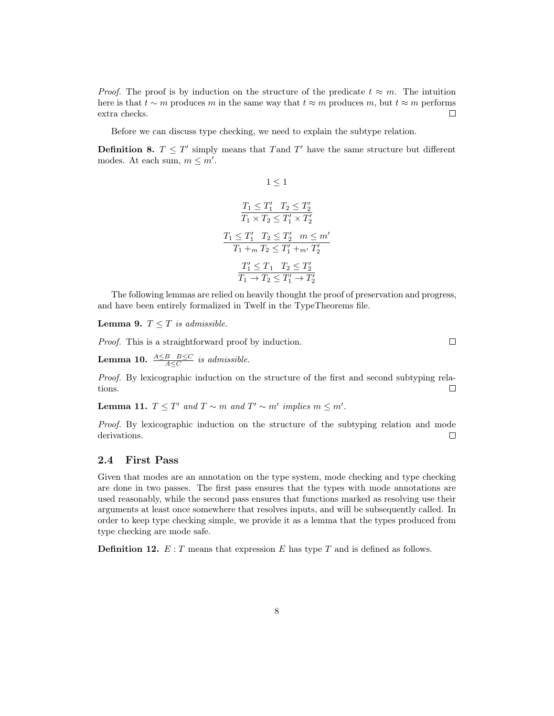*Proof.* The proof is by induction on the structure of the predicate  $t \approx m$ . The intuition here is that  $t \sim m$  produces m in the same way that  $t \approx m$  produces m, but  $t \approx m$  performs extra checks.  $\Box$ 

Before we can discuss type checking, we need to explain the subtype relation.

**Definition 8.**  $T \leq T'$  simply means that T and T' have the same structure but different modes. At each sum,  $m \leq m'$ .

$$
1 \le 1
$$
\n
$$
\frac{T_1 \le T_1' \quad T_2 \le T_2'}{T_1 \times T_2 \le T_1' \times T_2'}
$$
\n
$$
\frac{T_1 \le T_1' \quad T_2 \le T_2' \quad m \le m'}{T_1 + m \quad T_2 \le T_1' + m' \quad T_2'}
$$
\n
$$
\frac{T_1' \le T_1 \quad T_2 \le T_2'}{T_1 \to T_2 \le T_1' \to T_2'}
$$

The following lemmas are relied on heavily thought the proof of preservation and progress, and have been entirely formalized in Twelf in the TypeTheorems file.

 $\Box$ 

**Lemma 9.**  $T \leq T$  is admissible.

Proof. This is a straightforward proof by induction.

**Lemma 10.**  $\frac{A \leq B \leq C}{A \leq C}$  is admissible.

Proof. By lexicographic induction on the structure of the first and second subtyping relations.  $\Box$ 

**Lemma 11.**  $T \leq T'$  and  $T \sim m$  and  $T' \sim m'$  implies  $m \leq m'$ .

Proof. By lexicographic induction on the structure of the subtyping relation and mode derivations.  $\Box$ 

#### 2.4 First Pass

Given that modes are an annotation on the type system, mode checking and type checking are done in two passes. The first pass ensures that the types with mode annotations are used reasonably, while the second pass ensures that functions marked as resolving use their arguments at least once somewhere that resolves inputs, and will be subsequently called. In order to keep type checking simple, we provide it as a lemma that the types produced from type checking are mode safe.

**Definition 12.**  $E: T$  means that expression E has type T and is defined as follows.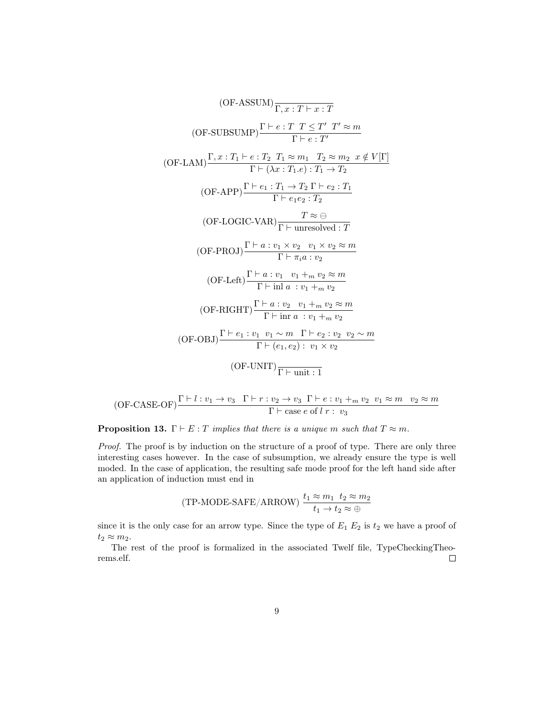$$
(OF-ASSUM)\frac{\Gamma+e: T T\leq T' T'\approx m}{\Gamma+e: T T\leq T' T'\approx m}
$$
  
\n
$$
(OF-LAM)\frac{\Gamma,x: T_1+e: T_2 T_1 \approx m_1 T_2 \approx m_2 x \notin V[\Gamma]}{\Gamma + (\lambda x: T_1.e): T_1 \to T_2}
$$
  
\n
$$
(OF-APP)\frac{\Gamma+e_1: T_1 \to T_2 \Gamma+e_2: T_1}{\Gamma+e_1e_2: T_2}
$$
  
\n
$$
(OF-LOGIC-VAR)\frac{T\approx \ominus}{\Gamma+unresolved:T}
$$
  
\n
$$
(OF-PROJ)\frac{\Gamma+a: v_1 \times v_2 v_1 \times v_2 \approx m}{\Gamma + \pi_i a: v_2}
$$
  
\n
$$
(OF-Left)\frac{\Gamma+a: v_1 v_1 + m v_2 \approx m}{\Gamma + \text{inl} a: v_1 + m v_2}
$$
  
\n
$$
(OF-RIGHT)\frac{\Gamma+a: v_2 v_1 + m v_2 \approx m}{\Gamma + \text{inr} a: v_1 + m v_2}
$$
  
\n
$$
(OF-OBJ)\frac{\Gamma+e_1: v_1 v_1 \sim m \Gamma+e_2: v_2 v_2 \sim m}{\Gamma + (e_1, e_2): v_1 \times v_2}
$$
  
\n
$$
(OF-UNIT)\frac{\Gamma+unit:1}{\Gamma + unit:1}
$$

$$
(\text{OF-CASE-OF}) \frac{\Gamma \vdash l : v_1 \to v_3 \quad \Gamma \vdash r : v_2 \to v_3 \quad \Gamma \vdash e : v_1 +_m v_2 \quad v_1 \approx m \quad v_2 \approx m}{\Gamma \vdash \text{case } e \text{ of } l \ r : v_3}
$$

**Proposition 13.**  $\Gamma \vdash E : T$  implies that there is a unique m such that  $T \approx m$ .

Proof. The proof is by induction on the structure of a proof of type. There are only three interesting cases however. In the case of subsumption, we already ensure the type is well moded. In the case of application, the resulting safe mode proof for the left hand side after an application of induction must end in

(TP-MODE-SAFE/ARROW) 
$$
\frac{t_1 \approx m_1 \ t_2 \approx m_2}{t_1 \to t_2 \approx \oplus}
$$

since it is the only case for an arrow type. Since the type of  $E_1 E_2$  is  $t_2$  we have a proof of  $t_2 \approx m_2$ .

The rest of the proof is formalized in the associated Twelf file, TypeCheckingTheorems.elf.  $\Box$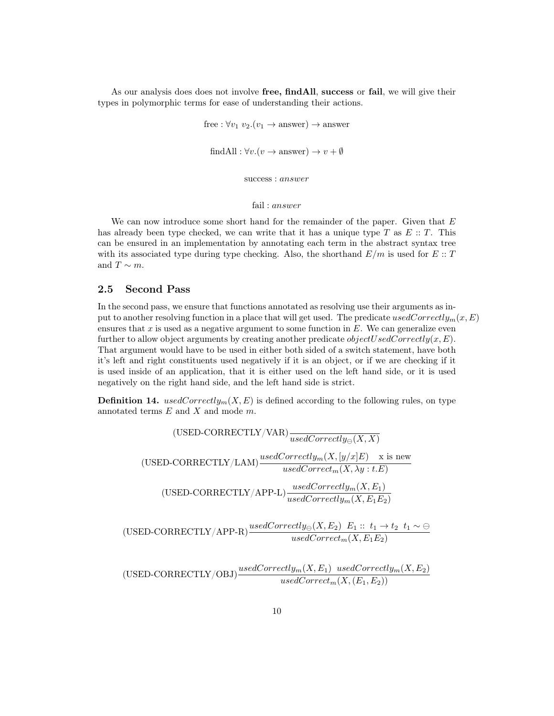As our analysis does does not involve free, findAll, success or fail, we will give their types in polymorphic terms for ease of understanding their actions.

> free :  $\forall v_1 v_2.(v_1 \rightarrow \text{answer}) \rightarrow \text{answer}$ findAll :  $\forall v.(v \rightarrow \text{answer}) \rightarrow v + \emptyset$ success : answer

> > fail : answer

We can now introduce some short hand for the remainder of the paper. Given that  $E$ has already been type checked, we can write that it has a unique type  $T$  as  $E :: T$ . This can be ensured in an implementation by annotating each term in the abstract syntax tree with its associated type during type checking. Also, the shorthand  $E/m$  is used for  $E::T$ and  $T \sim m$ .

### 2.5 Second Pass

In the second pass, we ensure that functions annotated as resolving use their arguments as input to another resolving function in a place that will get used. The predicate usedCorrectly<sub>m</sub> $(x, E)$ ensures that  $x$  is used as a negative argument to some function in  $E$ . We can generalize even further to allow object arguments by creating another predicate *objectUsedCorrectly(x, E)*. That argument would have to be used in either both sided of a switch statement, have both it's left and right constituents used negatively if it is an object, or if we are checking if it is used inside of an application, that it is either used on the left hand side, or it is used negatively on the right hand side, and the left hand side is strict.

**Definition 14.** usedCorrectly<sub>m</sub> $(X, E)$  is defined according to the following rules, on type annotated terms  $E$  and  $X$  and mode  $m$ .

(USED-CORRECTLY/VAR) 
$$
\frac{usedCorrectly_{\Theta}(X, X)}{usedCorrectly_{\Theta}(X, \lambda y : t.E)}
$$
  
\n(USED-CORRECTLY/LAM)  $\frac{usedCorrectly_m(X, [y/x]E) - x \text{ is new} + 0}{usedCorrectm(X, \lambda y : t.E)}$   
\n(USED-CORRECTLY/APP-L)  $\frac{usedCorrectly_m(X, E_1)}{usedCorrectly_m(X, E_1E_2)}$   
\n(USED-CORRECTLY/APP-R)  $\frac{usedCorrectly_{\Theta}(X, E_2) - E_1 :: t_1 \rightarrow t_2 - t_1 \sim \Theta}{usedCorrectm(X, E_1E_2)}$   
\n(USED-CORRECTLY/OBJ)  $\frac{usedCorrectly_m(X, E_1) - usedCorrectly_m(X, E_2)}{usedCorrectm(X, (E_1, E_2))}$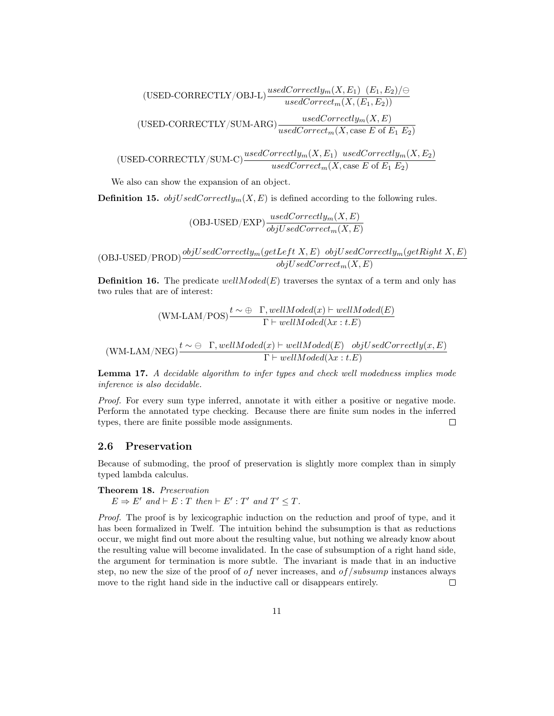$$
\frac{\text{(USED-CORRECTLY/OBJ-L)}}{usedCorrectm(X, E_1)} \frac{usedCorrecty_m(X, E_1) \ (E_1, E_2)/\ominus}{usedCorrectm(X, (E_1, E_2))}
$$
\n
$$
\frac{usedCorrecty_m(X, E)}{usedCorrectm(X, case E of E_1 E_2)}
$$

$$
(\mathrm{USED-CORRECTLY} / \mathrm{SUM-C}) \frac{usedCorrectly_m(X,E_1)\text{ usedCorrectly}_m(X,E_2)}{usedCorrect_m(X,\mathrm{case}\ E\ \mathrm{of}\ E_1\ E_2)}
$$

We also can show the expansion of an object.

**Definition 15.**  $objUsedCorrectly_m(X, E)$  is defined according to the following rules.

$$
(\mathrm{OBJ\text{-}USED}/\mathrm{EXP})\frac{usedCorrectly_m(X,E)}{objUsedCorrect_m(X,E)}
$$

$$
(\mathrm{OBJ\text{-}USED/PROD}) \frac{objUsedCorrectly_m(getLeft~X, E)~~objUsedCorrectly_m(getRight~X, E)}{objUsedCorrect_m(X, E)}
$$

**Definition 16.** The predicate  $wellModel(E)$  traverses the syntax of a term and only has two rules that are of interest:

$$
(WM-LAM/POS)\frac{t\sim\oplus\quadGamma, wellModel(x)\vdash wellModel(E)}{\Gamma\vdash wellModel(\lambda x:t.E)}
$$

$$
(WM-LAM/NEG)\frac{t\sim\ominus\quadGamma,wellModel(x)\vdash wellModel(E)\quad objUsedCorrectly(x,E)}{\Gamma\vdash wellModel(\lambda x:t.E)}
$$

Lemma 17. A decidable algorithm to infer types and check well modedness implies mode inference is also decidable.

Proof. For every sum type inferred, annotate it with either a positive or negative mode. Perform the annotated type checking. Because there are finite sum nodes in the inferred types, there are finite possible mode assignments.  $\Box$ 

### 2.6 Preservation

Because of submoding, the proof of preservation is slightly more complex than in simply typed lambda calculus.

Theorem 18. Preservation  $E \Rightarrow E'$  and  $\vdash E : T$  then  $\vdash E' : T'$  and  $T' \leq T$ .

Proof. The proof is by lexicographic induction on the reduction and proof of type, and it has been formalized in Twelf. The intuition behind the subsumption is that as reductions occur, we might find out more about the resulting value, but nothing we already know about the resulting value will become invalidated. In the case of subsumption of a right hand side, the argument for termination is more subtle. The invariant is made that in an inductive step, no new the size of the proof of of never increases, and  $of/subsump$  instances always move to the right hand side in the inductive call or disappears entirely.  $\Box$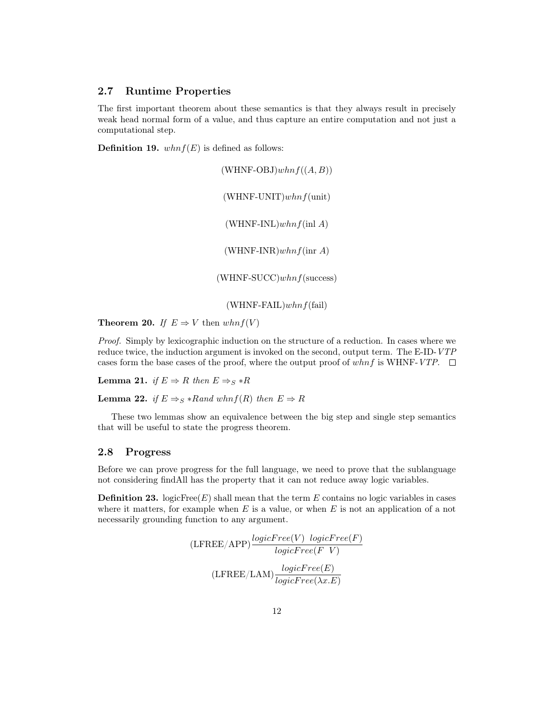### 2.7 Runtime Properties

The first important theorem about these semantics is that they always result in precisely weak head normal form of a value, and thus capture an entire computation and not just a computational step.

**Definition 19.**  $whnf(E)$  is defined as follows:

 $(WHNF-OBJ)whnf((A, B))$  $(WHNF-UNIT)whnf$ (unit)  $(WHNF\text{-}INL)whnf(\text{inl } A)$  $(WHNF-INR)whnf(int A)$  $(WHNF-SUCC)whnf$ (success)

 $(WHNF\text{-}FAIL)whn f(fail)$ 

**Theorem 20.** If  $E \Rightarrow V$  then  $whnf(V)$ 

Proof. Simply by lexicographic induction on the structure of a reduction. In cases where we reduce twice, the induction argument is invoked on the second, output term. The E-ID-VTP cases form the base cases of the proof, where the output proof of whn f is WHNF-VTP.  $\square$ 

**Lemma 21.** if  $E \Rightarrow R$  then  $E \Rightarrow_S *R$ 

**Lemma 22.** if  $E \Rightarrow_S * Rand \, whnf(R) \, then \, E \Rightarrow R$ 

These two lemmas show an equivalence between the big step and single step semantics that will be useful to state the progress theorem.

# 2.8 Progress

Before we can prove progress for the full language, we need to prove that the sublanguage not considering findAll has the property that it can not reduce away logic variables.

**Definition 23.** logicFree $(E)$  shall mean that the term E contains no logic variables in cases where it matters, for example when  $E$  is a value, or when  $E$  is not an application of a not necessarily grounding function to any argument.

> $(LFREE/APP)$   $logicFree(V)$   $logicFree(F)$  $logicFree(F/V)$  $(LFREE/LAM)$  $logicFree(E)$  $logicFree(\lambda x.E)$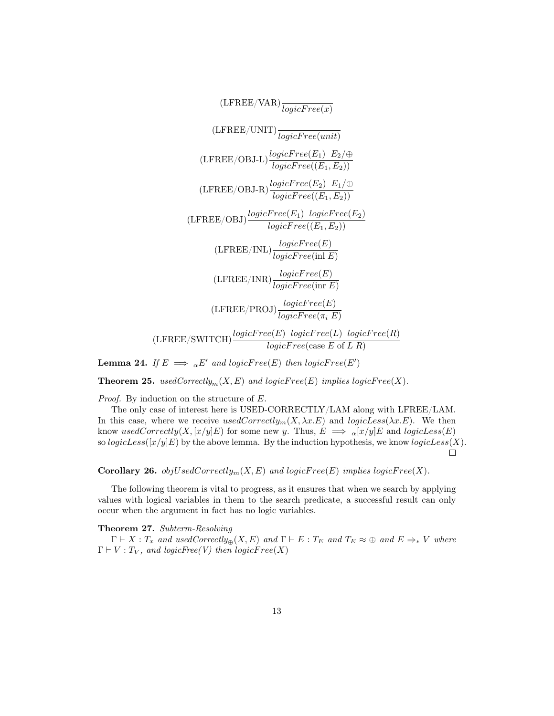$$
(LFREE/VAR) \frac{\text{(LFREE/UNIT)}}{\text{logicFree}(unit)}
$$
\n
$$
(LFREE/UDIT) \frac{\text{logicFree}(unit)}{\text{logicFree}(E_1) E_2/\oplus}
$$
\n
$$
(LFREE/OBJ-L) \frac{\text{logicFree}(E_1) E_2/\oplus}{\text{logicFree}((E_1, E_2))}
$$
\n
$$
(LFREE/OBJ-R) \frac{\text{logicFree}(E_2) E_1/\oplus}{\text{logicFree}((E_1, E_2))}
$$
\n
$$
(LFREE/OBJ) \frac{\text{logicFree}(E_1) \text{ logicFree}(E_2)}{\text{logicFree}(\text{lin } E)}
$$
\n
$$
(LFREE/INR) \frac{\text{logicFree}(E)}{\text{logicFree}(\text{lin } E)}
$$
\n
$$
(LFREE/PROJ) \frac{\text{logicFree}(E)}{\text{logicFree}(\pi_i E)}
$$
\n
$$
(LFREE/SWITCH) \frac{\text{logicFree}(E) \text{logicFree}(E) \text{logicFree}(E_1) \text{logicFree}(R)}{\text{logicFree}(\text{case } E \text{ of } L \text{ R})}
$$

**Lemma 24.** If  $E \implies {}_{\alpha}E'$  and logicFree(E) then logicFree(E')

**Theorem 25.** usedCorrectly<sub>m</sub> $(X, E)$  and logicFree $(E)$  implies logicFree $(X)$ .

Proof. By induction on the structure of E.

The only case of interest here is USED-CORRECTLY/LAM along with LFREE/LAM. In this case, where we receive usedCorrectly<sub>m</sub> $(X, \lambda x.E)$  and logicLess( $\lambda x.E$ ). We then know usedCorrectly(X,  $[x/y]E$ ) for some new y. Thus,  $E \implies \alpha [x/y]E$  and logicLess(E) so logicLess( $[x/y]E$ ) by the above lemma. By the induction hypothesis, we know logicLess(X).  $\Box$ 

**Corollary 26.** objUsedCorrectly<sub>m</sub> $(X, E)$  and logicFree $(E)$  implies logicFree $(X)$ .

The following theorem is vital to progress, as it ensures that when we search by applying values with logical variables in them to the search predicate, a successful result can only occur when the argument in fact has no logic variables.

Theorem 27. Subterm-Resolving

 $\Gamma \vdash X : T_x$  and usedCorrectly<sub>⊕</sub> $(X, E)$  and  $\Gamma \vdash E : T_E$  and  $T_E \approx \oplus$  and  $E \Rightarrow_* V$  where  $\Gamma \vdash V : T_V$ , and logicFree(V) then logicFree(X)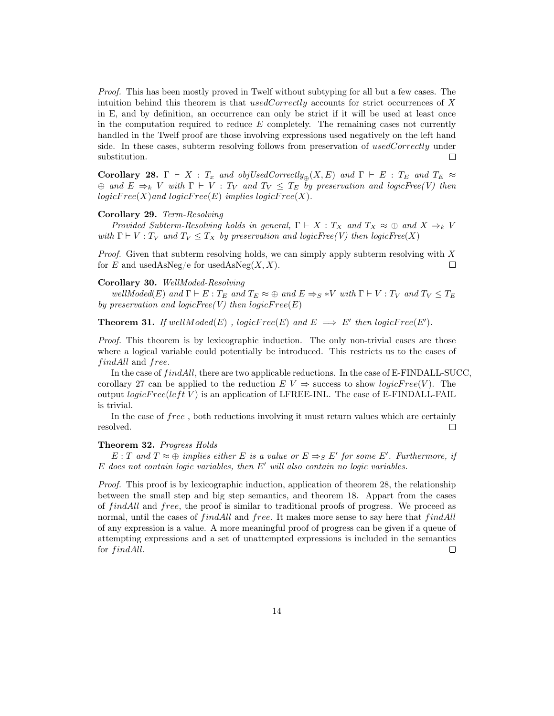Proof. This has been mostly proved in Twelf without subtyping for all but a few cases. The intuition behind this theorem is that usedCorrectly accounts for strict occurrences of  $X$ in E, and by definition, an occurrence can only be strict if it will be used at least once in the computation required to reduce  $E$  completely. The remaining cases not currently handled in the Twelf proof are those involving expressions used negatively on the left hand side. In these cases, subterm resolving follows from preservation of usedCorrectly under substitution. П

Corollary 28.  $\Gamma \vdash X : T_x$  and objUsedCorrectly<sub>⊕</sub> $(X, E)$  and  $\Gamma \vdash E : T_E$  and  $T_E \approx$  $\oplus$  and  $E \Rightarrow_k V$  with  $\Gamma \vdash V : T_V$  and  $T_V \leq T_E$  by preservation and logic Free(V) then  $logicFree(X)$  and  $logicFree(E)$  implies  $logicFree(X)$ .

#### Corollary 29. Term-Resolving

Provided Subterm-Resolving holds in general,  $\Gamma \vdash X : T_X$  and  $T_X \approx \oplus$  and  $X \Rightarrow_k V$ with  $\Gamma \vdash V : T_V$  and  $T_V \leq T_X$  by preservation and logicFree(V) then logicFree(X)

Proof. Given that subterm resolving holds, we can simply apply subterm resolving with X for E and usedAsNeg/e for usedAsNeg $(X, X)$ .  $\Box$ 

#### Corollary 30. WellModed-Resolving

wellModed(E) and  $\Gamma \vdash E : T_E$  and  $T_E \approx \oplus$  and  $E \Rightarrow_S *V$  with  $\Gamma \vdash V : T_V$  and  $T_V \le T_E$ by preservation and logicFree(V) then logicFree(E)

**Theorem 31.** If wellModed(E), logicFree(E) and  $E \implies E'$  then logicFree(E').

Proof. This theorem is by lexicographic induction. The only non-trivial cases are those where a logical variable could potentially be introduced. This restricts us to the cases of findAll and free.

In the case of  $findAll$ , there are two applicable reductions. In the case of E-FINDALL-SUCC, corollary 27 can be applied to the reduction  $E V \Rightarrow$  success to show *logicFree(V)*. The output  $logicFree(left V)$  is an application of LFREE-INL. The case of E-FINDALL-FAIL is trivial.

In the case of free, both reductions involving it must return values which are certainly resolved.  $\Box$ 

#### Theorem 32. Progress Holds

 $E: T$  and  $T \approx \bigoplus$  implies either E is a value or  $E \Rightarrow_{S} E'$  for some E'. Furthermore, if  $E$  does not contain logic variables, then  $E'$  will also contain no logic variables.

Proof. This proof is by lexicographic induction, application of theorem 28, the relationship between the small step and big step semantics, and theorem 18. Appart from the cases of findAll and free, the proof is similar to traditional proofs of progress. We proceed as normal, until the cases of  $findAll$  and  $free$ . It makes more sense to say here that  $findAll$ of any expression is a value. A more meaningful proof of progress can be given if a queue of attempting expressions and a set of unattempted expressions is included in the semantics for  $findAll.$  $\Box$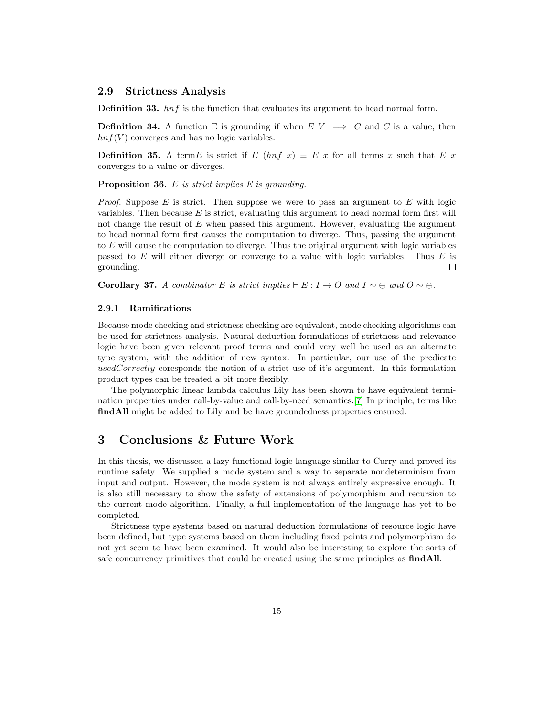#### 2.9 Strictness Analysis

Definition 33. hnf is the function that evaluates its argument to head normal form.

**Definition 34.** A function E is grounding if when  $E V \implies C$  and C is a value, then  $hnf(V)$  converges and has no logic variables.

**Definition 35.** A term E is strict if E (hnf x)  $\equiv E$  x for all terms x such that E x converges to a value or diverges.

**Proposition 36.**  $E$  is strict implies  $E$  is grounding.

*Proof.* Suppose E is strict. Then suppose we were to pass an argument to E with logic variables. Then because  $E$  is strict, evaluating this argument to head normal form first will not change the result of  $E$  when passed this argument. However, evaluating the argument to head normal form first causes the computation to diverge. Thus, passing the argument to E will cause the computation to diverge. Thus the original argument with logic variables passed to  $E$  will either diverge or converge to a value with logic variables. Thus  $E$  is grounding.  $\Box$ 

**Corollary 37.** A combinator E is strict implies  $\vdash E : I \rightarrow O$  and  $I \sim \bigoplus$  and  $O \sim \bigoplus$ .

#### 2.9.1 Ramifications

Because mode checking and strictness checking are equivalent, mode checking algorithms can be used for strictness analysis. Natural deduction formulations of strictness and relevance logic have been given relevant proof terms and could very well be used as an alternate type system, with the addition of new syntax. In particular, our use of the predicate usedCorrectly coresponds the notion of a strict use of it's argument. In this formulation product types can be treated a bit more flexibly.

The polymorphic linear lambda calculus Lily has been shown to have equivalent termination properties under call-by-value and call-by-need semantics.[\[7\]](#page-15-4) In principle, terms like findAll might be added to Lily and be have groundedness properties ensured.

# 3 Conclusions & Future Work

In this thesis, we discussed a lazy functional logic language similar to Curry and proved its runtime safety. We supplied a mode system and a way to separate nondeterminism from input and output. However, the mode system is not always entirely expressive enough. It is also still necessary to show the safety of extensions of polymorphism and recursion to the current mode algorithm. Finally, a full implementation of the language has yet to be completed.

Strictness type systems based on natural deduction formulations of resource logic have been defined, but type systems based on them including fixed points and polymorphism do not yet seem to have been examined. It would also be interesting to explore the sorts of safe concurrency primitives that could be created using the same principles as findAll.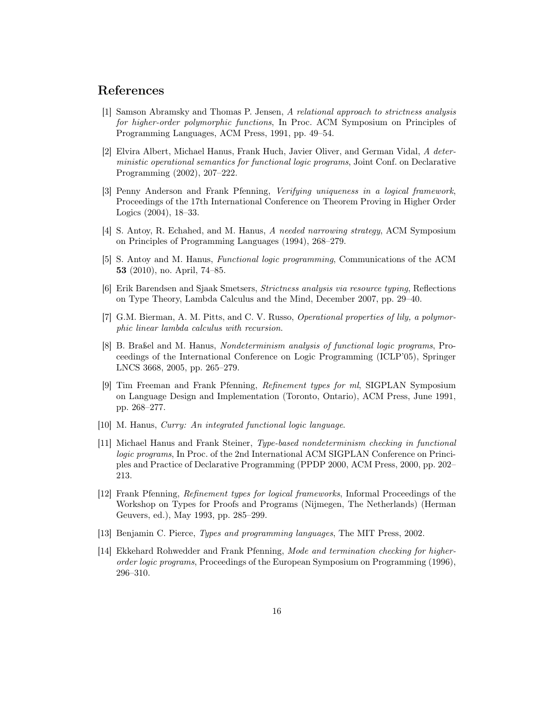# References

- [1] Samson Abramsky and Thomas P. Jensen, A relational approach to strictness analysis for higher-order polymorphic functions, In Proc. ACM Symposium on Principles of Programming Languages, ACM Press, 1991, pp. 49–54.
- <span id="page-15-3"></span>[2] Elvira Albert, Michael Hanus, Frank Huch, Javier Oliver, and German Vidal, A deterministic operational semantics for functional logic programs, Joint Conf. on Declarative Programming (2002), 207–222.
- [3] Penny Anderson and Frank Pfenning, Verifying uniqueness in a logical framework, Proceedings of the 17th International Conference on Theorem Proving in Higher Order Logics (2004), 18–33.
- <span id="page-15-0"></span>[4] S. Antoy, R. Echahed, and M. Hanus, A needed narrowing strategy, ACM Symposium on Principles of Programming Languages (1994), 268–279.
- <span id="page-15-1"></span>[5] S. Antoy and M. Hanus, Functional logic programming, Communications of the ACM 53 (2010), no. April, 74–85.
- [6] Erik Barendsen and Sjaak Smetsers, Strictness analysis via resource typing, Reflections on Type Theory, Lambda Calculus and the Mind, December 2007, pp. 29–40.
- <span id="page-15-4"></span>[7] G.M. Bierman, A. M. Pitts, and C. V. Russo, *Operational properties of lily, a polymor*phic linear lambda calculus with recursion.
- [8] B. Braßel and M. Hanus, Nondeterminism analysis of functional logic programs, Proceedings of the International Conference on Logic Programming (ICLP'05), Springer LNCS 3668, 2005, pp. 265–279.
- [9] Tim Freeman and Frank Pfenning, Refinement types for ml, SIGPLAN Symposium on Language Design and Implementation (Toronto, Ontario), ACM Press, June 1991, pp. 268–277.
- [10] M. Hanus, *Curry: An integrated functional logic language*.
- [11] Michael Hanus and Frank Steiner, Type-based nondeterminism checking in functional logic programs, In Proc. of the 2nd International ACM SIGPLAN Conference on Principles and Practice of Declarative Programming (PPDP 2000, ACM Press, 2000, pp. 202– 213.
- [12] Frank Pfenning, Refinement types for logical frameworks, Informal Proceedings of the Workshop on Types for Proofs and Programs (Nijmegen, The Netherlands) (Herman Geuvers, ed.), May 1993, pp. 285–299.
- [13] Benjamin C. Pierce, Types and programming languages, The MIT Press, 2002.
- <span id="page-15-2"></span>[14] Ekkehard Rohwedder and Frank Pfenning, Mode and termination checking for higherorder logic programs, Proceedings of the European Symposium on Programming (1996), 296–310.